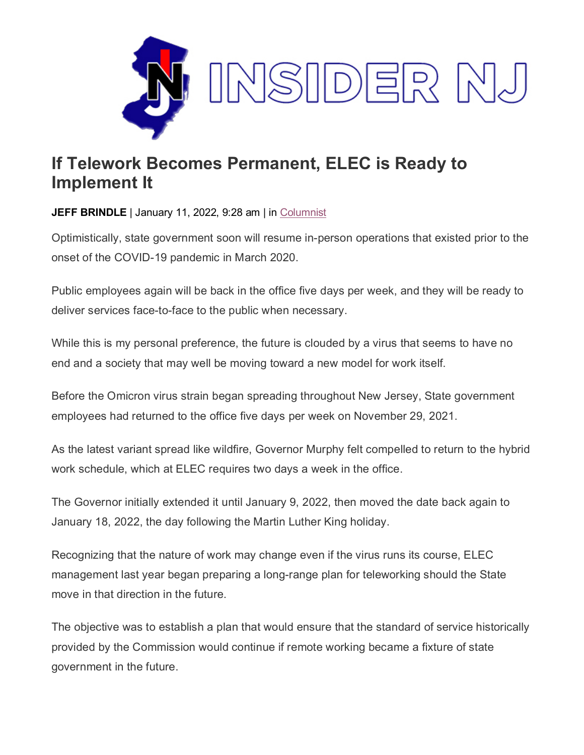

## **If Telework Becomes Permanent, ELEC is Ready to Implement It**

**JEFF BRINDLE** | January 11, 2022, 9:28 am | in [Columnist](https://www.insidernj.com/category/columnist/)

Optimistically, state government soon will resume in-person operations that existed prior to the onset of the COVID-19 pandemic in March 2020.

Public employees again will be back in the office five days per week, and they will be ready to deliver services face-to-face to the public when necessary.

While this is my personal preference, the future is clouded by a virus that seems to have no end and a society that may well be moving toward a new model for work itself.

Before the Omicron virus strain began spreading throughout New Jersey, State government employees had returned to the office five days per week on November 29, 2021.

As the latest variant spread like wildfire, Governor Murphy felt compelled to return to the hybrid work schedule, which at ELEC requires two days a week in the office.

The Governor initially extended it until January 9, 2022, then moved the date back again to January 18, 2022, the day following the Martin Luther King holiday.

Recognizing that the nature of work may change even if the virus runs its course, ELEC management last year began preparing a long-range plan for teleworking should the State move in that direction in the future.

The objective was to establish a plan that would ensure that the standard of service historically provided by the Commission would continue if remote working became a fixture of state government in the future.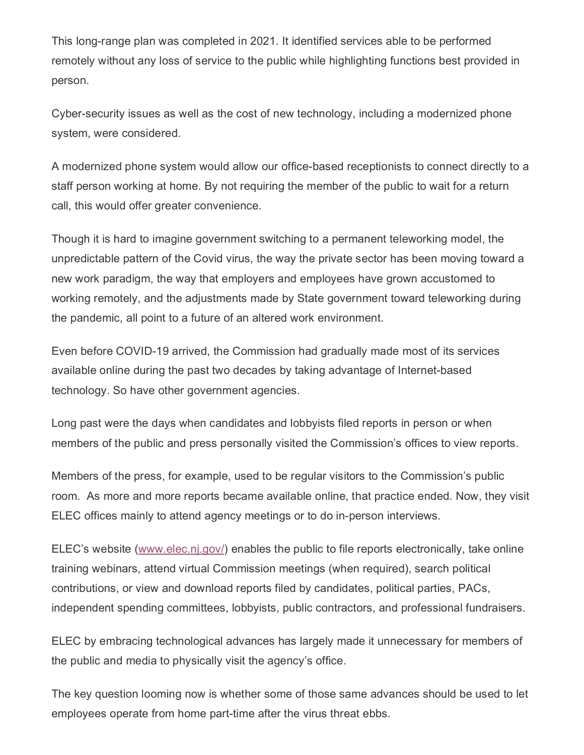This long-range plan was completed in 2021. It identified services able to be performed remotely without any loss of service to the public while highlighting functions best provided in person.

Cyber-security issues as well as the cost of new technology, including a modernized phone system, were considered.

A modernized phone system would allow our office-based receptionists to connect directly to a staff person working at home. By not requiring the member of the public to wait for a return call, this would offer greater convenience.

Though it is hard to imagine government switching to a permanent teleworking model, the unpredictable pattern of the Covid virus, the way the private sector has been moving toward a new work paradigm, the way that employers and employees have grown accustomed to working remotely, and the adjustments made by State government toward teleworking during the pandemic, all point to a future of an altered work environment.

Even before COVID-19 arrived, the Commission had gradually made most of its services available online during the past two decades by taking advantage of Internet-based technology. So have other government agencies.

Long past were the days when candidates and lobbyists filed reports in person or when members of the public and press personally visited the Commission's offices to view reports.

Members of the press, for example, used to be regular visitors to the Commission's public room. As more and more reports became available online, that practice ended. Now, they visit ELEC offices mainly to attend agency meetings or to do in-person interviews.

ELEC's website [\(www.elec.nj.gov/\)](http://www.elec.nj.gov/) enables the public to file reports electronically, take online training webinars, attend virtual Commission meetings (when required), search political contributions, or view and download reports filed by candidates, political parties, PACs, independent spending committees, lobbyists, public contractors, and professional fundraisers.

ELEC by embracing technological advances has largely made it unnecessary for members of the public and media to physically visit the agency's office.

The key question looming now is whether some of those same advances should be used to let employees operate from home part-time after the virus threat ebbs.